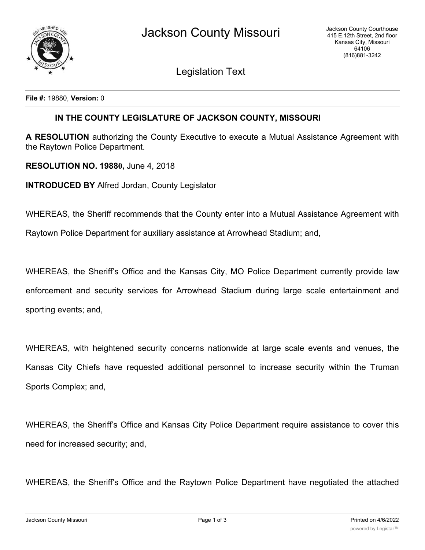Legislation Text

**File #:** 19880, **Version:** 0

## **IN THE COUNTY LEGISLATURE OF JACKSON COUNTY, MISSOURI**

**A RESOLUTION** authorizing the County Executive to execute a Mutual Assistance Agreement with the Raytown Police Department.

**RESOLUTION NO. 19880,** June 4, 2018

**INTRODUCED BY** Alfred Jordan, County Legislator

WHEREAS, the Sheriff recommends that the County enter into a Mutual Assistance Agreement with

Raytown Police Department for auxiliary assistance at Arrowhead Stadium; and,

WHEREAS, the Sheriff's Office and the Kansas City, MO Police Department currently provide law enforcement and security services for Arrowhead Stadium during large scale entertainment and sporting events; and,

WHEREAS, with heightened security concerns nationwide at large scale events and venues, the Kansas City Chiefs have requested additional personnel to increase security within the Truman Sports Complex; and,

WHEREAS, the Sheriff's Office and Kansas City Police Department require assistance to cover this need for increased security; and,

WHEREAS, the Sheriff's Office and the Raytown Police Department have negotiated the attached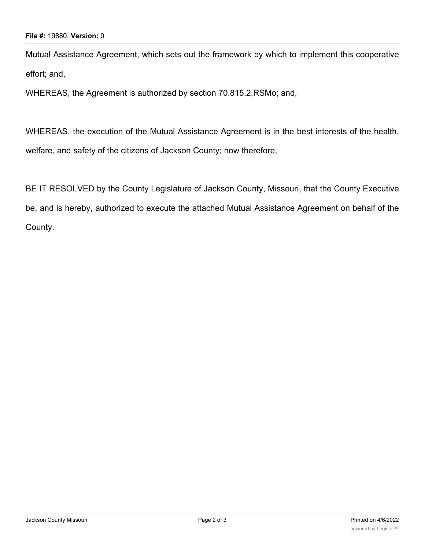Mutual Assistance Agreement, which sets out the framework by which to implement this cooperative effort; and,

WHEREAS, the Agreement is authorized by section 70.815.2,RSMo; and,

WHEREAS, the execution of the Mutual Assistance Agreement is in the best interests of the health, welfare, and safety of the citizens of Jackson County; now therefore,

BE IT RESOLVED by the County Legislature of Jackson County, Missouri, that the County Executive be, and is hereby, authorized to execute the attached Mutual Assistance Agreement on behalf of the County.